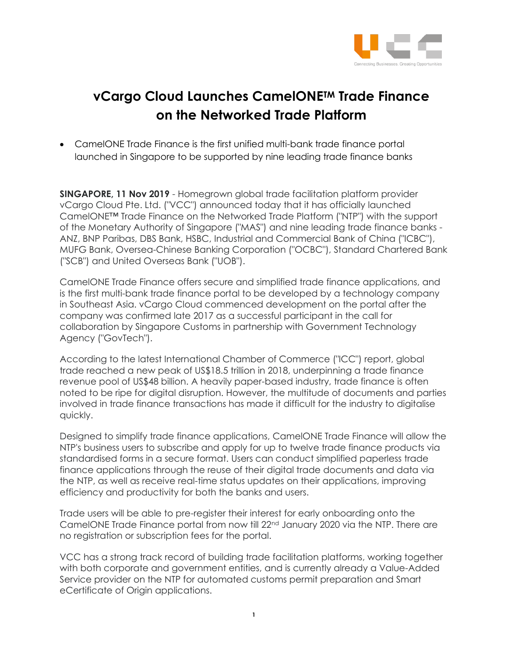

## **vCargo Cloud Launches CamelONETM Trade Finance on the Networked Trade Platform**

• CamelONE Trade Finance is the first unified multi-bank trade finance portal launched in Singapore to be supported by nine leading trade finance banks

**SINGAPORE, 11 Nov 2019** - Homegrown global trade facilitation platform provider vCargo Cloud Pte. Ltd. ("VCC") announced today that it has officially launched CamelONE™ Trade Finance on the Networked Trade Platform ("NTP") with the support of the Monetary Authority of Singapore ("MAS") and nine leading trade finance banks - ANZ, BNP Paribas, DBS Bank, HSBC, Industrial and Commercial Bank of China ("ICBC"), MUFG Bank, Oversea-Chinese Banking Corporation ("OCBC"), Standard Chartered Bank ("SCB") and United Overseas Bank ("UOB").

CamelONE Trade Finance offers secure and simplified trade finance applications, and is the first multi-bank trade finance portal to be developed by a technology company in Southeast Asia. vCargo Cloud commenced development on the portal after the company was confirmed late 2017 as a successful participant in the call for collaboration by Singapore Customs in partnership with Government Technology Agency ("GovTech").

According to the latest International Chamber of Commerce ("ICC") report, global trade reached a new peak of US\$18.5 trillion in 2018, underpinning a trade finance revenue pool of US\$48 billion. A heavily paper-based industry, trade finance is often noted to be ripe for digital disruption. However, the multitude of documents and parties involved in trade finance transactions has made it difficult for the industry to digitalise quickly.

Designed to simplify trade finance applications, CamelONE Trade Finance will allow the NTP's business users to subscribe and apply for up to twelve trade finance products via standardised forms in a secure format. Users can conduct simplified paperless trade finance applications through the reuse of their digital trade documents and data via the NTP, as well as receive real-time status updates on their applications, improving efficiency and productivity for both the banks and users.

Trade users will be able to pre-register their interest for early onboarding onto the CamelONE Trade Finance portal from now till 22<sup>nd</sup> January 2020 via the NTP. There are no registration or subscription fees for the portal.

VCC has a strong track record of building trade facilitation platforms, working together with both corporate and government entities, and is currently already a Value-Added Service provider on the NTP for automated customs permit preparation and Smart eCertificate of Origin applications.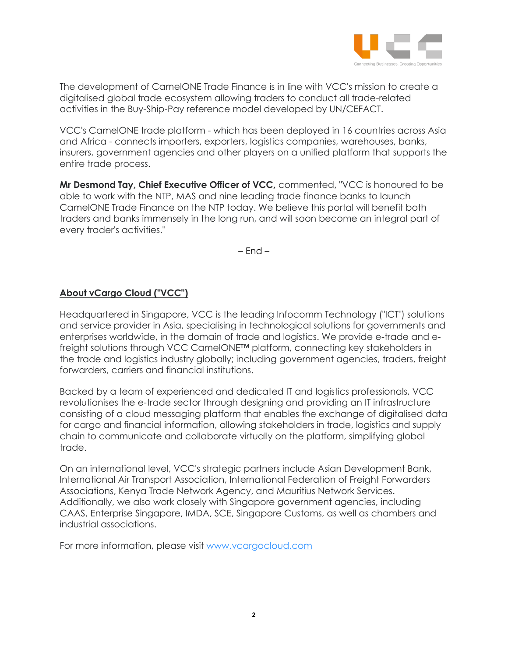

The development of CamelONE Trade Finance is in line with VCC's mission to create a digitalised global trade ecosystem allowing traders to conduct all trade-related activities in the Buy-Ship-Pay reference model developed by UN/CEFACT.

VCC's CamelONE trade platform - which has been deployed in 16 countries across Asia and Africa - connects importers, exporters, logistics companies, warehouses, banks, insurers, government agencies and other players on a unified platform that supports the entire trade process.

**Mr Desmond Tay, Chief Executive Officer of VCC,** commented, "VCC is honoured to be able to work with the NTP, MAS and nine leading trade finance banks to launch CamelONE Trade Finance on the NTP today. We believe this portal will benefit both traders and banks immensely in the long run, and will soon become an integral part of every trader's activities."

– End –

## **About vCargo Cloud ("VCC")**

Headquartered in Singapore, VCC is the leading Infocomm Technology ("ICT") solutions and service provider in Asia, specialising in technological solutions for governments and enterprises worldwide, in the domain of trade and logistics. We provide e-trade and efreight solutions through VCC CamelONE™ platform, connecting key stakeholders in the trade and logistics industry globally; including government agencies, traders, freight forwarders, carriers and financial institutions.

Backed by a team of experienced and dedicated IT and logistics professionals, VCC revolutionises the e-trade sector through designing and providing an IT infrastructure consisting of a cloud messaging platform that enables the exchange of digitalised data for cargo and financial information, allowing stakeholders in trade, logistics and supply chain to communicate and collaborate virtually on the platform, simplifying global trade.

On an international level, VCC's strategic partners include Asian Development Bank, International Air Transport Association, International Federation of Freight Forwarders Associations, Kenya Trade Network Agency, and Mauritius Network Services. Additionally, we also work closely with Singapore government agencies, including CAAS, Enterprise Singapore, IMDA, SCE, Singapore Customs, as well as chambers and industrial associations.

For more information, please visit [www.vcargocloud.com](http://www.vcargocloud.com/)